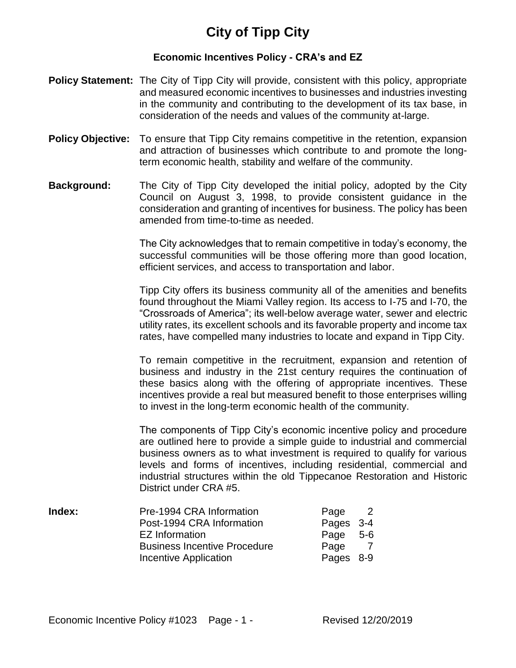# **City of Tipp City**

## **Economic Incentives Policy - CRA's and EZ**

- **Policy Statement:** The City of Tipp City will provide, consistent with this policy, appropriate and measured economic incentives to businesses and industries investing in the community and contributing to the development of its tax base, in consideration of the needs and values of the community at-large.
- **Policy Objective:** To ensure that Tipp City remains competitive in the retention, expansion and attraction of businesses which contribute to and promote the longterm economic health, stability and welfare of the community.
- **Background:** The City of Tipp City developed the initial policy, adopted by the City Council on August 3, 1998, to provide consistent guidance in the consideration and granting of incentives for business. The policy has been amended from time-to-time as needed.

The City acknowledges that to remain competitive in today's economy, the successful communities will be those offering more than good location, efficient services, and access to transportation and labor.

Tipp City offers its business community all of the amenities and benefits found throughout the Miami Valley region. Its access to I-75 and I-70, the "Crossroads of America"; its well-below average water, sewer and electric utility rates, its excellent schools and its favorable property and income tax rates, have compelled many industries to locate and expand in Tipp City.

To remain competitive in the recruitment, expansion and retention of business and industry in the 21st century requires the continuation of these basics along with the offering of appropriate incentives. These incentives provide a real but measured benefit to those enterprises willing to invest in the long-term economic health of the community.

The components of Tipp City's economic incentive policy and procedure are outlined here to provide a simple guide to industrial and commercial business owners as to what investment is required to qualify for various levels and forms of incentives, including residential, commercial and industrial structures within the old Tippecanoe Restoration and Historic District under CRA #5.

| Index: | Pre-1994 CRA Information            | Page      |  |
|--------|-------------------------------------|-----------|--|
|        | Post-1994 CRA Information           | Pages 3-4 |  |
|        | EZ Information                      | Page 5-6  |  |
|        | <b>Business Incentive Procedure</b> | Page      |  |
|        | Incentive Application               | Pages 8-9 |  |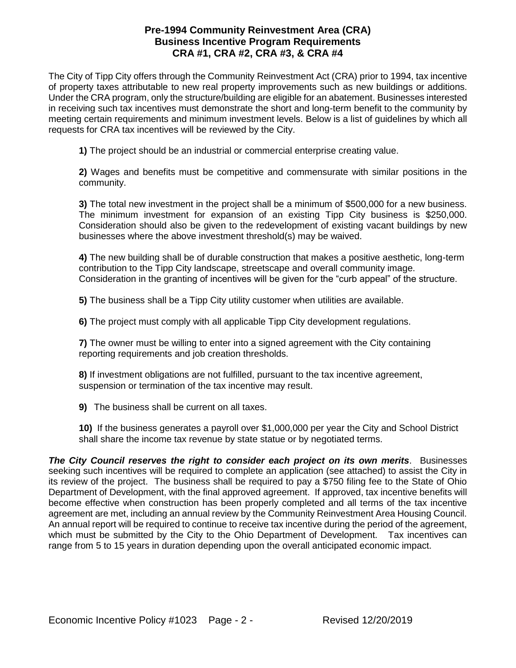#### **Pre-1994 Community Reinvestment Area (CRA) Business Incentive Program Requirements CRA #1, CRA #2, CRA #3, & CRA #4**

The City of Tipp City offers through the Community Reinvestment Act (CRA) prior to 1994, tax incentive of property taxes attributable to new real property improvements such as new buildings or additions. Under the CRA program, only the structure/building are eligible for an abatement. Businesses interested in receiving such tax incentives must demonstrate the short and long-term benefit to the community by meeting certain requirements and minimum investment levels. Below is a list of guidelines by which all requests for CRA tax incentives will be reviewed by the City.

**1)** The project should be an industrial or commercial enterprise creating value.

**2)** Wages and benefits must be competitive and commensurate with similar positions in the community.

**3)** The total new investment in the project shall be a minimum of \$500,000 for a new business. The minimum investment for expansion of an existing Tipp City business is \$250,000. Consideration should also be given to the redevelopment of existing vacant buildings by new businesses where the above investment threshold(s) may be waived.

**4)** The new building shall be of durable construction that makes a positive aesthetic, long-term contribution to the Tipp City landscape, streetscape and overall community image. Consideration in the granting of incentives will be given for the "curb appeal" of the structure.

**5)** The business shall be a Tipp City utility customer when utilities are available.

**6)** The project must comply with all applicable Tipp City development regulations.

**7)** The owner must be willing to enter into a signed agreement with the City containing reporting requirements and job creation thresholds.

**8)** If investment obligations are not fulfilled, pursuant to the tax incentive agreement, suspension or termination of the tax incentive may result.

**9)** The business shall be current on all taxes.

**10)** If the business generates a payroll over \$1,000,000 per year the City and School District shall share the income tax revenue by state statue or by negotiated terms.

*The City Council reserves the right to consider each project on its own merits*. Businesses seeking such incentives will be required to complete an application (see attached) to assist the City in its review of the project. The business shall be required to pay a \$750 filing fee to the State of Ohio Department of Development, with the final approved agreement. If approved, tax incentive benefits will become effective when construction has been properly completed and all terms of the tax incentive agreement are met, including an annual review by the Community Reinvestment Area Housing Council. An annual report will be required to continue to receive tax incentive during the period of the agreement, which must be submitted by the City to the Ohio Department of Development. Tax incentives can range from 5 to 15 years in duration depending upon the overall anticipated economic impact.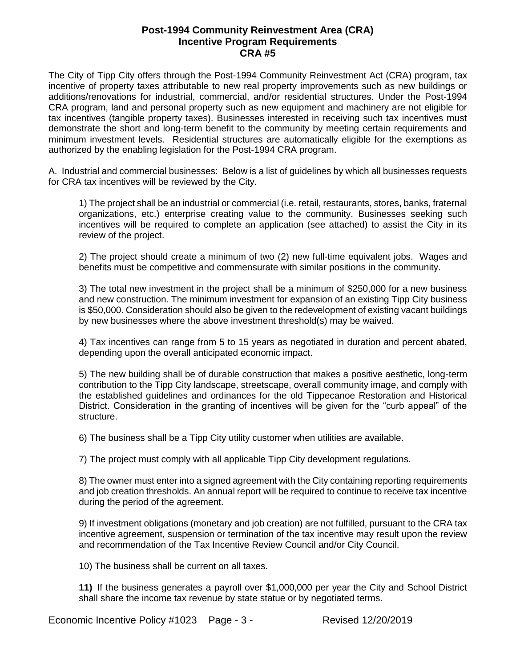#### **Post-1994 Community Reinvestment Area (CRA) Incentive Program Requirements CRA #5**

The City of Tipp City offers through the Post-1994 Community Reinvestment Act (CRA) program, tax incentive of property taxes attributable to new real property improvements such as new buildings or additions/renovations for industrial, commercial, and/or residential structures. Under the Post-1994 CRA program, land and personal property such as new equipment and machinery are not eligible for tax incentives (tangible property taxes). Businesses interested in receiving such tax incentives must demonstrate the short and long-term benefit to the community by meeting certain requirements and minimum investment levels. Residential structures are automatically eligible for the exemptions as authorized by the enabling legislation for the Post-1994 CRA program.

A. Industrial and commercial businesses: Below is a list of guidelines by which all businesses requests for CRA tax incentives will be reviewed by the City.

1) The project shall be an industrial or commercial (i.e. retail, restaurants, stores, banks, fraternal organizations, etc.) enterprise creating value to the community. Businesses seeking such incentives will be required to complete an application (see attached) to assist the City in its review of the project.

2) The project should create a minimum of two (2) new full-time equivalent jobs. Wages and benefits must be competitive and commensurate with similar positions in the community.

3) The total new investment in the project shall be a minimum of \$250,000 for a new business and new construction. The minimum investment for expansion of an existing Tipp City business is \$50,000. Consideration should also be given to the redevelopment of existing vacant buildings by new businesses where the above investment threshold(s) may be waived.

4) Tax incentives can range from 5 to 15 years as negotiated in duration and percent abated, depending upon the overall anticipated economic impact.

5) The new building shall be of durable construction that makes a positive aesthetic, long-term contribution to the Tipp City landscape, streetscape, overall community image, and comply with the established guidelines and ordinances for the old Tippecanoe Restoration and Historical District. Consideration in the granting of incentives will be given for the "curb appeal" of the structure.

6) The business shall be a Tipp City utility customer when utilities are available.

7) The project must comply with all applicable Tipp City development regulations.

8) The owner must enter into a signed agreement with the City containing reporting requirements and job creation thresholds. An annual report will be required to continue to receive tax incentive during the period of the agreement.

9) If investment obligations (monetary and job creation) are not fulfilled, pursuant to the CRA tax incentive agreement, suspension or termination of the tax incentive may result upon the review and recommendation of the Tax Incentive Review Council and/or City Council.

10) The business shall be current on all taxes.

**11)** If the business generates a payroll over \$1,000,000 per year the City and School District shall share the income tax revenue by state statue or by negotiated terms.

Economic Incentive Policy #1023 Page - 3 - Revised 12/20/2019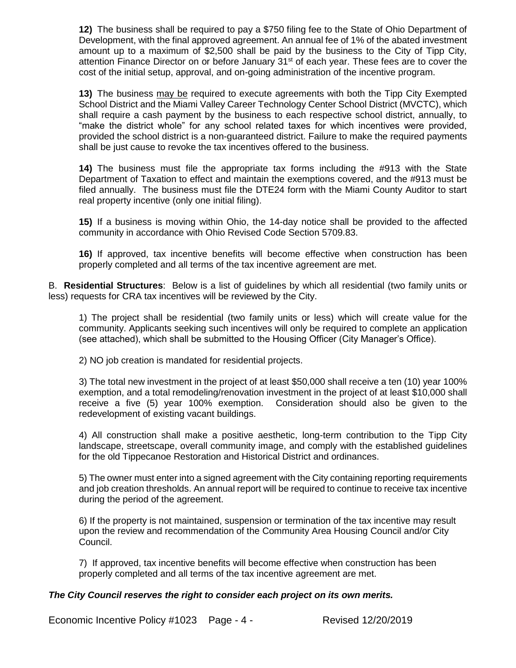**12)** The business shall be required to pay a \$750 filing fee to the State of Ohio Department of Development, with the final approved agreement. An annual fee of 1% of the abated investment amount up to a maximum of \$2,500 shall be paid by the business to the City of Tipp City, attention Finance Director on or before January 31<sup>st</sup> of each year. These fees are to cover the cost of the initial setup, approval, and on-going administration of the incentive program.

**13)** The business may be required to execute agreements with both the Tipp City Exempted School District and the Miami Valley Career Technology Center School District (MVCTC), which shall require a cash payment by the business to each respective school district, annually, to "make the district whole" for any school related taxes for which incentives were provided, provided the school district is a non-guaranteed district. Failure to make the required payments shall be just cause to revoke the tax incentives offered to the business.

**14)** The business must file the appropriate tax forms including the #913 with the State Department of Taxation to effect and maintain the exemptions covered, and the #913 must be filed annually. The business must file the DTE24 form with the Miami County Auditor to start real property incentive (only one initial filing).

**15)** If a business is moving within Ohio, the 14-day notice shall be provided to the affected community in accordance with Ohio Revised Code Section 5709.83.

**16)** If approved, tax incentive benefits will become effective when construction has been properly completed and all terms of the tax incentive agreement are met.

B. **Residential Structures**: Below is a list of guidelines by which all residential (two family units or less) requests for CRA tax incentives will be reviewed by the City.

1) The project shall be residential (two family units or less) which will create value for the community. Applicants seeking such incentives will only be required to complete an application (see attached), which shall be submitted to the Housing Officer (City Manager's Office).

2) NO job creation is mandated for residential projects.

3) The total new investment in the project of at least \$50,000 shall receive a ten (10) year 100% exemption, and a total remodeling/renovation investment in the project of at least \$10,000 shall receive a five (5) year 100% exemption. Consideration should also be given to the redevelopment of existing vacant buildings.

4) All construction shall make a positive aesthetic, long-term contribution to the Tipp City landscape, streetscape, overall community image, and comply with the established guidelines for the old Tippecanoe Restoration and Historical District and ordinances.

5) The owner must enter into a signed agreement with the City containing reporting requirements and job creation thresholds. An annual report will be required to continue to receive tax incentive during the period of the agreement.

6) If the property is not maintained, suspension or termination of the tax incentive may result upon the review and recommendation of the Community Area Housing Council and/or City Council.

7) If approved, tax incentive benefits will become effective when construction has been properly completed and all terms of the tax incentive agreement are met.

#### *The City Council reserves the right to consider each project on its own merits.*

Economic Incentive Policy #1023 Page - 4 - Revised 12/20/2019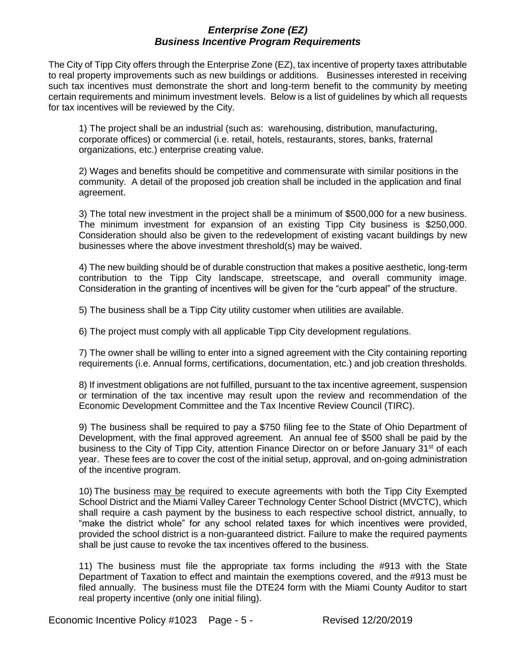#### *Enterprise Zone (EZ) Business Incentive Program Requirements*

The City of Tipp City offers through the Enterprise Zone (EZ), tax incentive of property taxes attributable to real property improvements such as new buildings or additions. Businesses interested in receiving such tax incentives must demonstrate the short and long-term benefit to the community by meeting certain requirements and minimum investment levels. Below is a list of guidelines by which all requests for tax incentives will be reviewed by the City.

1) The project shall be an industrial (such as: warehousing, distribution, manufacturing, corporate offices) or commercial (i.e. retail, hotels, restaurants, stores, banks, fraternal organizations, etc.) enterprise creating value.

2) Wages and benefits should be competitive and commensurate with similar positions in the community. A detail of the proposed job creation shall be included in the application and final agreement.

3) The total new investment in the project shall be a minimum of \$500,000 for a new business. The minimum investment for expansion of an existing Tipp City business is \$250,000. Consideration should also be given to the redevelopment of existing vacant buildings by new businesses where the above investment threshold(s) may be waived.

4) The new building should be of durable construction that makes a positive aesthetic, long-term contribution to the Tipp City landscape, streetscape, and overall community image. Consideration in the granting of incentives will be given for the "curb appeal" of the structure.

5) The business shall be a Tipp City utility customer when utilities are available.

6) The project must comply with all applicable Tipp City development regulations.

7) The owner shall be willing to enter into a signed agreement with the City containing reporting requirements (i.e. Annual forms, certifications, documentation, etc.) and job creation thresholds.

8) If investment obligations are not fulfilled, pursuant to the tax incentive agreement, suspension or termination of the tax incentive may result upon the review and recommendation of the Economic Development Committee and the Tax Incentive Review Council (TIRC).

9) The business shall be required to pay a \$750 filing fee to the State of Ohio Department of Development, with the final approved agreement. An annual fee of \$500 shall be paid by the business to the City of Tipp City, attention Finance Director on or before January 31<sup>st</sup> of each year. These fees are to cover the cost of the initial setup, approval, and on-going administration of the incentive program.

10) The business may be required to execute agreements with both the Tipp City Exempted School District and the Miami Valley Career Technology Center School District (MVCTC), which shall require a cash payment by the business to each respective school district, annually, to "make the district whole" for any school related taxes for which incentives were provided, provided the school district is a non-guaranteed district. Failure to make the required payments shall be just cause to revoke the tax incentives offered to the business.

11) The business must file the appropriate tax forms including the #913 with the State Department of Taxation to effect and maintain the exemptions covered, and the #913 must be filed annually. The business must file the DTE24 form with the Miami County Auditor to start real property incentive (only one initial filing).

Economic Incentive Policy #1023 Page - 5 - Revised 12/20/2019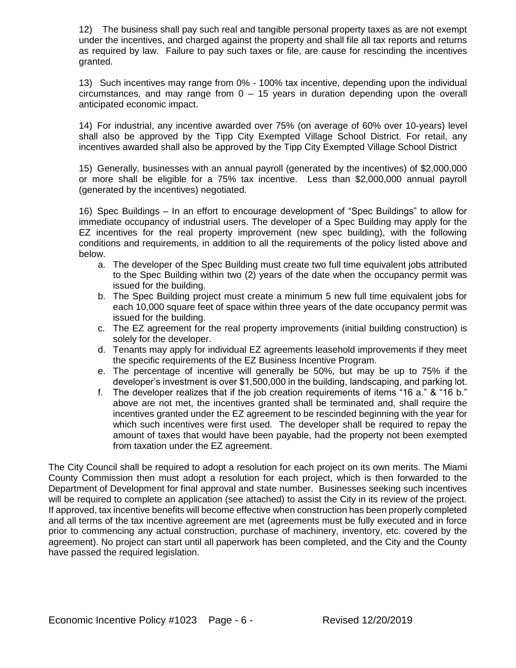12) The business shall pay such real and tangible personal property taxes as are not exempt under the incentives, and charged against the property and shall file all tax reports and returns as required by law. Failure to pay such taxes or file, are cause for rescinding the incentives granted.

13) Such incentives may range from 0% - 100% tax incentive, depending upon the individual circumstances, and may range from 0 – 15 years in duration depending upon the overall anticipated economic impact.

14) For industrial, any incentive awarded over 75% (on average of 60% over 10-years) level shall also be approved by the Tipp City Exempted Village School District. For retail, any incentives awarded shall also be approved by the Tipp City Exempted Village School District

15) Generally, businesses with an annual payroll (generated by the incentives) of \$2,000,000 or more shall be eligible for a 75% tax incentive. Less than \$2,000,000 annual payroll (generated by the incentives) negotiated.

16) Spec Buildings – In an effort to encourage development of "Spec Buildings" to allow for immediate occupancy of industrial users. The developer of a Spec Building may apply for the EZ incentives for the real property improvement (new spec building), with the following conditions and requirements, in addition to all the requirements of the policy listed above and below.

- a. The developer of the Spec Building must create two full time equivalent jobs attributed to the Spec Building within two (2) years of the date when the occupancy permit was issued for the building.
- b. The Spec Building project must create a minimum 5 new full time equivalent jobs for each 10,000 square feet of space within three years of the date occupancy permit was issued for the building.
- c. The EZ agreement for the real property improvements (initial building construction) is solely for the developer.
- d. Tenants may apply for individual EZ agreements leasehold improvements if they meet the specific requirements of the EZ Business Incentive Program.
- e. The percentage of incentive will generally be 50%, but may be up to 75% if the developer's investment is over \$1,500,000 in the building, landscaping, and parking lot.
- f. The developer realizes that if the job creation requirements of items "16 a." & "16 b." above are not met, the incentives granted shall be terminated and, shall require the incentives granted under the EZ agreement to be rescinded beginning with the year for which such incentives were first used. The developer shall be required to repay the amount of taxes that would have been payable, had the property not been exempted from taxation under the EZ agreement.

The City Council shall be required to adopt a resolution for each project on its own merits. The Miami County Commission then must adopt a resolution for each project, which is then forwarded to the Department of Development for final approval and state number. Businesses seeking such incentives will be required to complete an application (see attached) to assist the City in its review of the project. If approved, tax incentive benefits will become effective when construction has been properly completed and all terms of the tax incentive agreement are met (agreements must be fully executed and in force prior to commencing any actual construction, purchase of machinery, inventory, etc. covered by the agreement). No project can start until all paperwork has been completed, and the City and the County have passed the required legislation.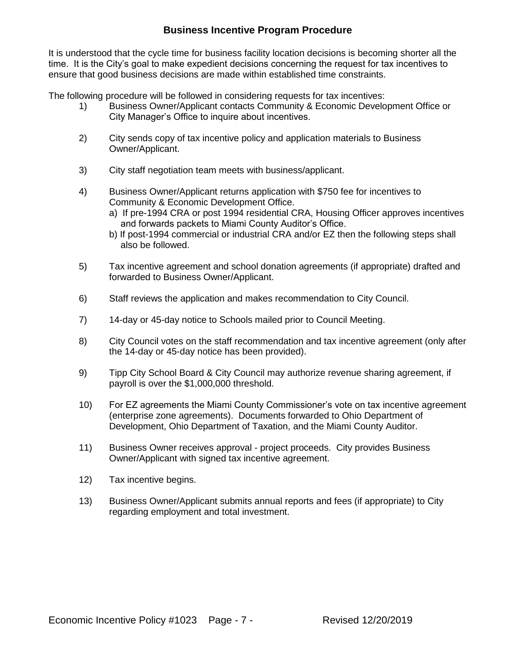## **Business Incentive Program Procedure**

It is understood that the cycle time for business facility location decisions is becoming shorter all the time. It is the City's goal to make expedient decisions concerning the request for tax incentives to ensure that good business decisions are made within established time constraints.

The following procedure will be followed in considering requests for tax incentives:

- 1) Business Owner/Applicant contacts Community & Economic Development Office or City Manager's Office to inquire about incentives.
- 2) City sends copy of tax incentive policy and application materials to Business Owner/Applicant.
- 3) City staff negotiation team meets with business/applicant.
- 4) Business Owner/Applicant returns application with \$750 fee for incentives to Community & Economic Development Office.
	- a) If pre-1994 CRA or post 1994 residential CRA, Housing Officer approves incentives and forwards packets to Miami County Auditor's Office.
	- b) If post-1994 commercial or industrial CRA and/or EZ then the following steps shall also be followed.
- 5) Tax incentive agreement and school donation agreements (if appropriate) drafted and forwarded to Business Owner/Applicant.
- 6) Staff reviews the application and makes recommendation to City Council.
- 7) 14-day or 45-day notice to Schools mailed prior to Council Meeting.
- 8) City Council votes on the staff recommendation and tax incentive agreement (only after the 14-day or 45-day notice has been provided).
- 9) Tipp City School Board & City Council may authorize revenue sharing agreement, if payroll is over the \$1,000,000 threshold.
- 10) For EZ agreements the Miami County Commissioner's vote on tax incentive agreement (enterprise zone agreements). Documents forwarded to Ohio Department of Development, Ohio Department of Taxation, and the Miami County Auditor.
- 11) Business Owner receives approval project proceeds. City provides Business Owner/Applicant with signed tax incentive agreement.
- 12) Tax incentive begins.
- 13) Business Owner/Applicant submits annual reports and fees (if appropriate) to City regarding employment and total investment.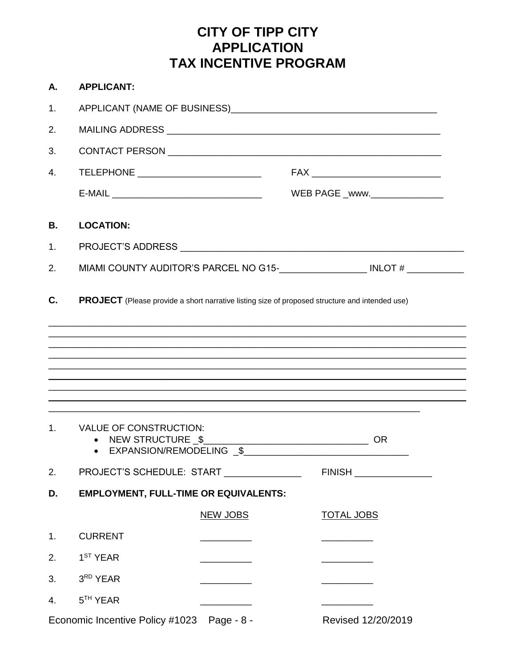## **CITY OF TIPP CITY APPLICATION TAX INCENTIVE PROGRAM**

| Α.             | <b>APPLICANT:</b>                                                               |                                                                                                                                                                                                                                |                                                                                                       |  |  |  |  |
|----------------|---------------------------------------------------------------------------------|--------------------------------------------------------------------------------------------------------------------------------------------------------------------------------------------------------------------------------|-------------------------------------------------------------------------------------------------------|--|--|--|--|
| 1.             |                                                                                 | APPLICANT (NAME OF BUSINESS) APPLICANT AND A SERIES AND A SERIES AND A SERIES AND A SERIES AND A SERIES AND A SERIES AND A SERIES AND A SERIES AND A SERIES AND A SERIES AND A SERIES AND A SERIES AND A SERIES AND A SERIES A |                                                                                                       |  |  |  |  |
| 2.             |                                                                                 |                                                                                                                                                                                                                                |                                                                                                       |  |  |  |  |
| 3.             |                                                                                 |                                                                                                                                                                                                                                |                                                                                                       |  |  |  |  |
| 4.             | TELEPHONE __________________________                                            |                                                                                                                                                                                                                                |                                                                                                       |  |  |  |  |
|                |                                                                                 |                                                                                                                                                                                                                                | WEB PAGE _www. _________________                                                                      |  |  |  |  |
| <b>B.</b>      | <b>LOCATION:</b>                                                                |                                                                                                                                                                                                                                |                                                                                                       |  |  |  |  |
| 1.             |                                                                                 |                                                                                                                                                                                                                                |                                                                                                       |  |  |  |  |
| 2.             |                                                                                 |                                                                                                                                                                                                                                |                                                                                                       |  |  |  |  |
| C.             |                                                                                 |                                                                                                                                                                                                                                | <b>PROJECT</b> (Please provide a short narrative listing size of proposed structure and intended use) |  |  |  |  |
|                |                                                                                 |                                                                                                                                                                                                                                |                                                                                                       |  |  |  |  |
| 1 <sub>1</sub> | <b>VALUE OF CONSTRUCTION:</b><br>NEW STRUCTURE \$<br>\$<br>EXPANSION/REMODELING |                                                                                                                                                                                                                                | <b>OR</b>                                                                                             |  |  |  |  |
| 2.             | PROJECT'S SCHEDULE: START                                                       |                                                                                                                                                                                                                                | FINISH ________________                                                                               |  |  |  |  |
| D.             | <b>EMPLOYMENT, FULL-TIME OR EQUIVALENTS:</b>                                    |                                                                                                                                                                                                                                |                                                                                                       |  |  |  |  |
|                |                                                                                 | <b>NEW JOBS</b>                                                                                                                                                                                                                | <b>TOTAL JOBS</b>                                                                                     |  |  |  |  |
| 1.             | <b>CURRENT</b>                                                                  |                                                                                                                                                                                                                                |                                                                                                       |  |  |  |  |
| 2.             | 1 <sup>ST</sup> YEAR                                                            |                                                                                                                                                                                                                                |                                                                                                       |  |  |  |  |
| 3.             | 3RD YEAR                                                                        |                                                                                                                                                                                                                                |                                                                                                       |  |  |  |  |
| 4.             | 5 <sup>TH</sup> YEAR                                                            |                                                                                                                                                                                                                                |                                                                                                       |  |  |  |  |
|                | Economic Incentive Policy #1023 Page - 8 -                                      |                                                                                                                                                                                                                                | Revised 12/20/2019                                                                                    |  |  |  |  |